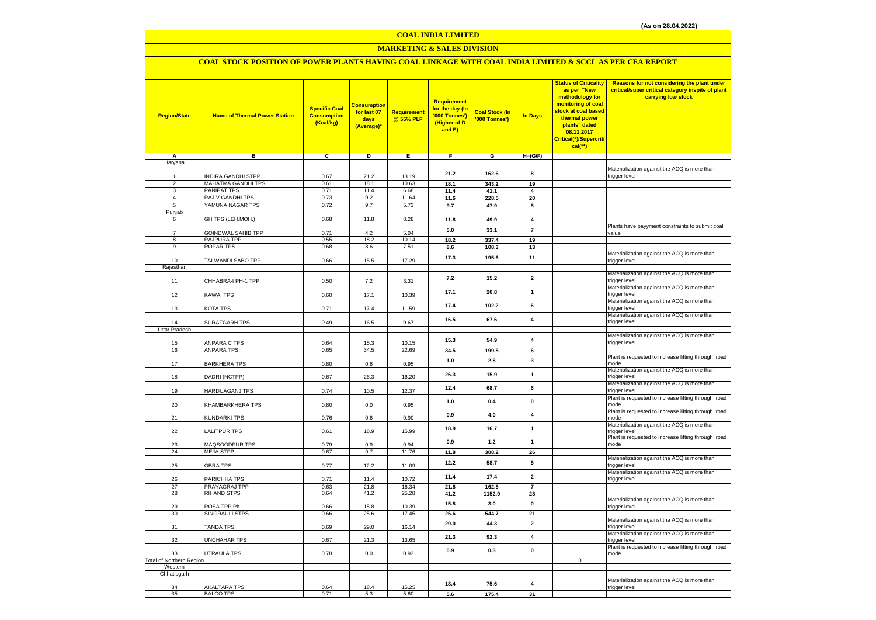### **COAL INDIA LIMITED**

### **MARKETING & SALES DIVISION**

### **COAL STOCK POSITION OF POWER PLANTS HAVING COAL LINKAGE WITH COAL INDIA LIMITED & SCCL AS PER CEA REPORT**

| <b>Region/State</b>                        | <b>Name of Thermal Power Station</b> | <b>Specific Coal</b><br><b>Consumption</b><br>(Kcal/kg) | <b>Consumption</b><br>for last 07<br>days<br>(Average)* | Requirement<br>@ 55% PLF | <b>Requirement</b><br>for the day (In<br>'000 Tonnes')<br>(Higher of D<br>and E) | <b>Coal Stock (In</b><br>'000 Tonnes') | <b>In Days</b>          | <b>Status of Criticality</b><br>as per "New<br>methodology for<br>monitoring of coal<br><mark>stock at coal based</mark><br>thermal power<br>plants" dated<br>08.11.2017<br>Critical(*)/Supercriti<br>cal(**) | <b>Reasons for not considering the plant under</b><br>critical/super critical category inspite of plant<br>carrying low stock |
|--------------------------------------------|--------------------------------------|---------------------------------------------------------|---------------------------------------------------------|--------------------------|----------------------------------------------------------------------------------|----------------------------------------|-------------------------|---------------------------------------------------------------------------------------------------------------------------------------------------------------------------------------------------------------|-------------------------------------------------------------------------------------------------------------------------------|
| A                                          | в                                    | c                                                       | D                                                       | Е                        | F                                                                                | G                                      | $H=(G/F)$               |                                                                                                                                                                                                               |                                                                                                                               |
| Haryana                                    |                                      |                                                         |                                                         |                          |                                                                                  |                                        |                         |                                                                                                                                                                                                               | Materialization against the ACQ is more than                                                                                  |
|                                            | INDIRA GANDHI STPP                   | 0.67                                                    | 21.2                                                    | 13.19                    | 21.2                                                                             | 162.6                                  | 8                       |                                                                                                                                                                                                               | trigger level                                                                                                                 |
| 2                                          | MAHATMA GANDHI TPS                   | 0.61                                                    | 18.1                                                    | 10.63                    | 18.1                                                                             | 343.2                                  | 19                      |                                                                                                                                                                                                               |                                                                                                                               |
| 3                                          | PANIPAT TPS                          | 0.71                                                    | 11.4                                                    | 6.68                     | 11.4                                                                             | 41.1                                   | $\overline{\mathbf{4}}$ |                                                                                                                                                                                                               |                                                                                                                               |
| $\overline{4}$<br>5                        | RAJIV GANDHI TPS<br>YAMUNA NAGAR TPS | 0.73<br>0.72                                            | 9.2<br>9.7                                              | 11.64<br>5.73            | 11.6                                                                             | 228.5                                  | 20                      |                                                                                                                                                                                                               |                                                                                                                               |
| Punjab                                     |                                      |                                                         |                                                         |                          | 9.7                                                                              | 47.9                                   | 5                       |                                                                                                                                                                                                               |                                                                                                                               |
| 6                                          | GH TPS (LEH.MOH.)                    | 0.68                                                    | 11.8                                                    | 8.28                     | 11.8                                                                             | 49.9                                   | $\overline{4}$          |                                                                                                                                                                                                               |                                                                                                                               |
|                                            |                                      |                                                         |                                                         |                          |                                                                                  | 33.1                                   | $\overline{7}$          |                                                                                                                                                                                                               | Plants have payyment constraints to submit coal                                                                               |
| $\overline{7}$                             | GOINDWAL SAHIB TPP                   | 0.71                                                    | 4.2                                                     | 5.04                     | 5.0                                                                              |                                        |                         |                                                                                                                                                                                                               | value                                                                                                                         |
| 8                                          | RAJPURA TPP                          | 0.55                                                    | 18.2                                                    | 10.14                    | 18.2                                                                             | 337.4                                  | 19                      |                                                                                                                                                                                                               |                                                                                                                               |
| 9                                          | <b>ROPAR TPS</b>                     | 0.68                                                    | 8.6                                                     | 7.51                     | 8.6                                                                              | 108.3                                  | 13                      |                                                                                                                                                                                                               | Materialization against the ACQ is more than                                                                                  |
| 10                                         | TALWANDI SABO TPP                    | 0.66                                                    | 15.5                                                    | 17.29                    | 17.3                                                                             | 195.6                                  | 11                      |                                                                                                                                                                                                               | trigger level                                                                                                                 |
| Rajasthan                                  |                                      |                                                         |                                                         |                          |                                                                                  |                                        |                         |                                                                                                                                                                                                               |                                                                                                                               |
|                                            |                                      |                                                         |                                                         |                          | 7.2                                                                              | 15.2                                   | $\mathbf 2$             |                                                                                                                                                                                                               | Materialization against the ACQ is more than                                                                                  |
| 11                                         | CHHABRA-I PH-1 TPP                   | 0.50                                                    | 7.2                                                     | 3.31                     |                                                                                  |                                        |                         |                                                                                                                                                                                                               | trigger level                                                                                                                 |
| 12                                         | <b>KAWAI TPS</b>                     | 0.60                                                    | 17.1                                                    | 10.39                    | 17.1                                                                             | 20.8                                   | $\mathbf{1}$            |                                                                                                                                                                                                               | Materialization against the ACQ is more than<br>trigger level                                                                 |
|                                            |                                      |                                                         |                                                         |                          |                                                                                  |                                        |                         |                                                                                                                                                                                                               | Materialization against the ACQ is more than                                                                                  |
| 13                                         | KOTA TPS                             | 0.71                                                    | 17.4                                                    | 11.59                    | 17.4                                                                             | 102.2                                  | 6                       |                                                                                                                                                                                                               | trigger level                                                                                                                 |
|                                            |                                      |                                                         |                                                         |                          | 16.5                                                                             | 67.6                                   | 4                       |                                                                                                                                                                                                               | Materialization against the ACQ is more than                                                                                  |
| 14                                         | SURATGARH TPS                        | 0.49                                                    | 16.5                                                    | 9.67                     |                                                                                  |                                        |                         |                                                                                                                                                                                                               | trigger level                                                                                                                 |
| <b>Uttar Pradesh</b>                       |                                      |                                                         |                                                         |                          |                                                                                  |                                        |                         |                                                                                                                                                                                                               | Materialization against the ACQ is more than                                                                                  |
| 15                                         | ANPARA C TPS                         | 0.64                                                    | 15.3                                                    | 10.15                    | 15.3                                                                             | 54.9                                   | 4                       |                                                                                                                                                                                                               | trigger level                                                                                                                 |
| 16                                         | <b>ANPARA TPS</b>                    | 0.65                                                    | 34.5                                                    | 22.69                    | 34.5                                                                             | 199.5                                  | 6                       |                                                                                                                                                                                                               |                                                                                                                               |
|                                            |                                      |                                                         |                                                         |                          | 1.0                                                                              | 2.8                                    | 3                       |                                                                                                                                                                                                               | Plant is requested to increase lifting through road                                                                           |
| 17                                         | <b>BARKHERA TPS</b>                  | 0.80                                                    | 0.6                                                     | 0.95                     |                                                                                  |                                        |                         |                                                                                                                                                                                                               | mode                                                                                                                          |
| 18                                         | DADRI (NCTPP)                        | 0.67                                                    | 26.3                                                    | 16.20                    | 26.3                                                                             | 15.9                                   | $\mathbf{1}$            |                                                                                                                                                                                                               | Materialization against the ACQ is more than<br>trigger level                                                                 |
|                                            |                                      |                                                         |                                                         |                          |                                                                                  |                                        |                         |                                                                                                                                                                                                               | Materialization against the ACQ is more than                                                                                  |
| 19                                         | HARDUAGANJ TPS                       | 0.74                                                    | 10.5                                                    | 12.37                    | 12.4                                                                             | 68.7                                   | 6                       |                                                                                                                                                                                                               | trigger level                                                                                                                 |
|                                            |                                      |                                                         |                                                         |                          | 1.0                                                                              | 0.4                                    | $\pmb{0}$               |                                                                                                                                                                                                               | Plant is requested to increase lifting through road                                                                           |
| 20                                         | KHAMBARKHERA TPS                     | 0.80                                                    | 0.0                                                     | 0.95                     |                                                                                  |                                        |                         |                                                                                                                                                                                                               | mode                                                                                                                          |
| 21                                         | KUNDARKI TPS                         | 0.76                                                    | 0.6                                                     | 0.90                     | 0.9                                                                              | $4.0$                                  | 4                       |                                                                                                                                                                                                               | Plant is requested to increase lifting through road<br>mode                                                                   |
|                                            |                                      |                                                         |                                                         |                          |                                                                                  |                                        |                         |                                                                                                                                                                                                               | Materialization against the ACQ is more than                                                                                  |
| 22                                         | LALITPUR TPS                         | 0.61                                                    | 18.9                                                    | 15.99                    | 18.9                                                                             | 16.7                                   | $\mathbf{1}$            |                                                                                                                                                                                                               | trigger level                                                                                                                 |
|                                            |                                      |                                                         |                                                         |                          | 0.9                                                                              | 1.2                                    | $\mathbf{1}$            |                                                                                                                                                                                                               | Plant is requested to increase lifting through road                                                                           |
| 23                                         | MAQSOODPUR TPS                       | 0.79                                                    | 0.9                                                     | 0.94                     |                                                                                  |                                        |                         |                                                                                                                                                                                                               | mode                                                                                                                          |
| 24                                         | <b>MEJA STPP</b>                     | 0.67                                                    | 9.7                                                     | 11.76                    | 11.8                                                                             | 308.2                                  | 26                      |                                                                                                                                                                                                               | Materialization against the ACQ is more than                                                                                  |
| 25                                         | <b>OBRA TPS</b>                      | 0.77                                                    | 12.2                                                    | 11.09                    | 12.2                                                                             | 58.7                                   | 5                       |                                                                                                                                                                                                               | trigger level                                                                                                                 |
|                                            |                                      |                                                         |                                                         |                          | 11.4                                                                             | 17.4                                   | $\overline{\mathbf{2}}$ |                                                                                                                                                                                                               | Materialization against the ACQ is more than                                                                                  |
| 26                                         | PARICHHA TPS                         | 0.71                                                    | 11.4                                                    | 10.72                    |                                                                                  |                                        |                         |                                                                                                                                                                                                               | trigger level                                                                                                                 |
| 27                                         | PRAYAGRAJ TPP<br><b>RIHAND STPS</b>  | 0.63                                                    | 21.8                                                    | 16.34                    | 21.8                                                                             | 162.5                                  | $\overline{7}$          |                                                                                                                                                                                                               |                                                                                                                               |
| 28                                         |                                      | 0.64                                                    | 41.2                                                    | 25.28                    | 41.2                                                                             | 1152.9                                 | 28                      |                                                                                                                                                                                                               | Materialization against the ACQ is more than                                                                                  |
| 29                                         | ROSA TPP Ph-I                        | 0.66                                                    | 15.8                                                    | 10.39                    | 15.8                                                                             | 3.0                                    | $\pmb{\mathsf{o}}$      |                                                                                                                                                                                                               | trigger level                                                                                                                 |
| 30                                         | SINGRAULI STPS                       | 0.66                                                    | 25.6                                                    | 17.45                    | 25.6                                                                             | 544.7                                  | 21                      |                                                                                                                                                                                                               |                                                                                                                               |
|                                            |                                      |                                                         |                                                         |                          | 29.0                                                                             | 44.3                                   | $\overline{\mathbf{2}}$ |                                                                                                                                                                                                               | Materialization against the ACQ is more than                                                                                  |
| 31                                         | <b>TANDA TPS</b>                     | 0.69                                                    | 29.0                                                    | 16.14                    |                                                                                  |                                        |                         |                                                                                                                                                                                                               | trigger level<br>Materialization against the ACQ is more than                                                                 |
| 32                                         | <b>JNCHAHAR TPS</b>                  | 0.67                                                    | 21.3                                                    | 13.65                    | 21.3                                                                             | 92.3                                   | 4                       |                                                                                                                                                                                                               | trigger level                                                                                                                 |
|                                            |                                      |                                                         |                                                         |                          | 0.9                                                                              | 0.3                                    | $\mathbf 0$             |                                                                                                                                                                                                               | Plant is requested to increase lifting through road                                                                           |
| 33                                         | UTRAULA TPS                          | 0.78                                                    | 0.0                                                     | 0.93                     |                                                                                  |                                        |                         |                                                                                                                                                                                                               | mode                                                                                                                          |
| <b>Total of Northern Region</b><br>Western |                                      |                                                         |                                                         |                          |                                                                                  |                                        |                         | $\mathbf 0$                                                                                                                                                                                                   |                                                                                                                               |
| Chhatisgarh                                |                                      |                                                         |                                                         |                          |                                                                                  |                                        |                         |                                                                                                                                                                                                               |                                                                                                                               |
|                                            |                                      |                                                         |                                                         |                          |                                                                                  |                                        |                         |                                                                                                                                                                                                               | Materialization against the ACQ is more than                                                                                  |
| 34                                         | <b>AKALTARA TPS</b>                  | 0.64                                                    | 18.4                                                    | 15.25                    | 18.4                                                                             | 75.6                                   | 4                       |                                                                                                                                                                                                               | trigger level                                                                                                                 |
| 35                                         | <b>BALCO TPS</b>                     | 0.71                                                    | 5.3                                                     | 5.60                     | 5.6                                                                              | 175.4                                  | 31                      |                                                                                                                                                                                                               |                                                                                                                               |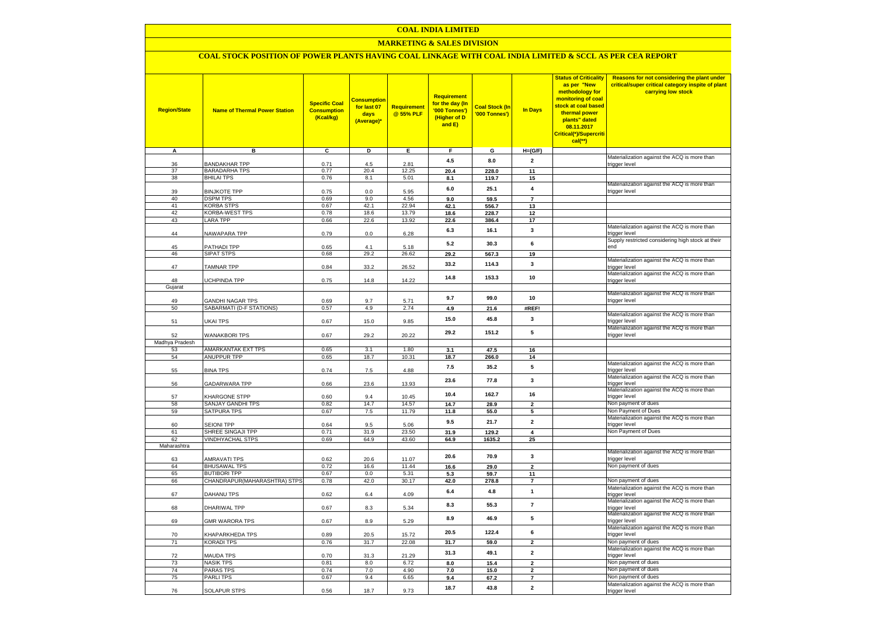#### **COAL INDIA LIMITED**

### **MARKETING & SALES DIVISION**

## **COAL STOCK POSITION OF POWER PLANTS HAVING COAL LINKAGE WITH COAL INDIA LIMITED & SCCL AS PER CEA REPORT**

| <b>Region/State</b> | <b>Name of Thermal Power Station</b>    | <b>Specific Coal</b><br><b>Consumption</b><br>(Kcal/kg) | <b>Consumption</b><br>for last 07<br>days<br>(Average) | <b>Requirement</b><br>@ 55% PLF | <b>Requirement</b><br>for the day (In<br>'000 Tonnes')<br>(Higher of D<br>and E) | <b>Coal Stock (In</b><br>'000 Tonnes') | <b>In Days</b>          | <b>Status of Criticality</b><br>as per "New<br>methodology for<br>monitoring of coal<br>stock at coal based<br>thermal power<br>plants" dated<br>08.11.2017<br>Critical(*)/Supercriti<br>cal(**) | Reasons for not considering the plant under<br>critical/super critical category inspite of plant<br>carrying low stock |
|---------------------|-----------------------------------------|---------------------------------------------------------|--------------------------------------------------------|---------------------------------|----------------------------------------------------------------------------------|----------------------------------------|-------------------------|--------------------------------------------------------------------------------------------------------------------------------------------------------------------------------------------------|------------------------------------------------------------------------------------------------------------------------|
| A                   | в                                       | $\overline{c}$                                          | Þ                                                      | Е.                              | F.                                                                               | G                                      | $H=(G/F)$               |                                                                                                                                                                                                  |                                                                                                                        |
| 36                  | <b>BANDAKHAR TPP</b>                    | 0.71                                                    | 4.5                                                    | 2.81                            | 4.5                                                                              | 8.0                                    | $\overline{\mathbf{2}}$ |                                                                                                                                                                                                  | Materialization against the ACQ is more than<br>trigger level                                                          |
| 37                  | <b>BARADARHA TPS</b>                    | 0.77                                                    | 20.4                                                   | 12.25                           | 20.4                                                                             | 228.0                                  | 11                      |                                                                                                                                                                                                  |                                                                                                                        |
| 38                  | <b>BHILAI TPS</b>                       | 0.76                                                    | 8.1                                                    | 5.01                            | 8.1                                                                              | 119.7                                  | 15                      |                                                                                                                                                                                                  |                                                                                                                        |
|                     |                                         |                                                         |                                                        |                                 | 6.0                                                                              | 25.1                                   | 4                       |                                                                                                                                                                                                  | Materialization against the ACQ is more than                                                                           |
| 39                  | <b>BINJKOTE TPP</b>                     | 0.75                                                    | 0.0                                                    | 5.95                            |                                                                                  |                                        |                         |                                                                                                                                                                                                  | trigger level                                                                                                          |
| 40<br>41            | <b>DSPM TPS</b><br><b>KORBA STPS</b>    | 0.69<br>0.67                                            | 9.0<br>42.1                                            | 4.56<br>22.94                   | 9.0                                                                              | 59.5                                   | $\overline{7}$<br>13    |                                                                                                                                                                                                  |                                                                                                                        |
| 42                  | KORBA-WEST TPS                          | 0.78                                                    | 18.6                                                   | 13.79                           | 42.1<br>18.6                                                                     | 556.7<br>228.7                         | 12                      |                                                                                                                                                                                                  |                                                                                                                        |
| 43                  | <b>LARA TPP</b>                         | 0.66                                                    | 22.6                                                   | 13.92                           | 22.6                                                                             | 386.4                                  | 17                      |                                                                                                                                                                                                  |                                                                                                                        |
|                     |                                         |                                                         |                                                        |                                 | 6.3                                                                              | 16.1                                   | 3                       |                                                                                                                                                                                                  | Materialization against the ACQ is more than                                                                           |
| 44                  | NAWAPARA TPP                            | 0.79                                                    | 0.0                                                    | 6.28                            |                                                                                  |                                        |                         |                                                                                                                                                                                                  | trigger level                                                                                                          |
| 45                  | PATHADI TPP                             | 0.65                                                    | 41                                                     | 5.18                            | 5.2                                                                              | 30.3                                   | 6                       |                                                                                                                                                                                                  | Supply restricted considering high stock at their<br>end                                                               |
| 46                  | <b>SIPAT STPS</b>                       | 0.68                                                    | 29.2                                                   | 26.62                           | 29.2                                                                             | 567.3                                  | 19                      |                                                                                                                                                                                                  |                                                                                                                        |
|                     |                                         |                                                         |                                                        |                                 | 33.2                                                                             | 114.3                                  | $\mathbf{3}$            |                                                                                                                                                                                                  | Materialization against the ACQ is more than                                                                           |
| 47                  | <b>TAMNAR TPP</b>                       | 0.84                                                    | 33.2                                                   | 26.52                           |                                                                                  |                                        |                         |                                                                                                                                                                                                  | trigger level                                                                                                          |
|                     |                                         | 0.75                                                    |                                                        | 14.22                           | 14.8                                                                             | 153.3                                  | 10                      |                                                                                                                                                                                                  | Materialization against the ACQ is more than<br>trigger level                                                          |
| 48<br>Gujarat       | UCHPINDA TPP                            |                                                         | 14.8                                                   |                                 |                                                                                  |                                        |                         |                                                                                                                                                                                                  |                                                                                                                        |
|                     |                                         |                                                         |                                                        |                                 |                                                                                  |                                        |                         |                                                                                                                                                                                                  | Materialization against the ACQ is more than                                                                           |
| 49                  | <b>GANDHI NAGAR TPS</b>                 | 0.69                                                    | 9.7                                                    | 5.71                            | 9.7                                                                              | 99.0                                   | 10                      |                                                                                                                                                                                                  | trigger level                                                                                                          |
| 50                  | SABARMATI (D-F STATIONS)                | 0.57                                                    | 4.9                                                    | 2.74                            | 4.9                                                                              | 21.6                                   | #REF!                   |                                                                                                                                                                                                  |                                                                                                                        |
|                     |                                         |                                                         |                                                        | 9.85                            | 15.0                                                                             | 45.8                                   | 3                       |                                                                                                                                                                                                  | Materialization against the ACQ is more than                                                                           |
| 51                  | UKAI TPS                                | 0.67                                                    | 15.0                                                   |                                 |                                                                                  |                                        |                         |                                                                                                                                                                                                  | trigger level<br>Materialization against the ACQ is more than                                                          |
| 52                  | <b>WANAKBORI TPS</b>                    | 0.67                                                    | 29.2                                                   | 20.22                           | 29.2                                                                             | 151.2                                  | 5                       |                                                                                                                                                                                                  | trigger level                                                                                                          |
| Madhya Pradesh      |                                         |                                                         |                                                        |                                 |                                                                                  |                                        |                         |                                                                                                                                                                                                  |                                                                                                                        |
| 53                  | AMARKANTAK EXT TPS                      | 0.65                                                    | 3.1                                                    | 1.80                            | 3.1                                                                              | 47.5                                   | 16                      |                                                                                                                                                                                                  |                                                                                                                        |
| 54                  | <b>ANUPPUR TPP</b>                      | 0.65                                                    | 18.7                                                   | 10.31                           | 18.7                                                                             | 266.0                                  | 14                      |                                                                                                                                                                                                  |                                                                                                                        |
|                     |                                         |                                                         |                                                        |                                 | 7.5                                                                              | 35.2                                   | 5                       |                                                                                                                                                                                                  | Materialization against the ACQ is more than                                                                           |
| 55                  | <b>BINA TPS</b>                         | 0.74                                                    | 7.5                                                    | 4.88                            |                                                                                  |                                        |                         |                                                                                                                                                                                                  | trigger level<br>Materialization against the ACQ is more than                                                          |
| 56                  | GADARWARA TPP                           | 0.66                                                    | 23.6                                                   | 13.93                           | 23.6                                                                             | 77.8                                   | 3                       |                                                                                                                                                                                                  | trigger level                                                                                                          |
|                     |                                         |                                                         |                                                        |                                 | 10.4                                                                             | 162.7                                  | 16                      |                                                                                                                                                                                                  | Materialization against the ACQ is more than                                                                           |
| 57                  | <b>KHARGONE STPP</b>                    | 0.60                                                    | 9.4                                                    | 10.45                           |                                                                                  |                                        |                         |                                                                                                                                                                                                  | trigger level                                                                                                          |
| 58<br>59            | SANJAY GANDHI TPS<br><b>SATPURA TPS</b> | 0.82<br>0.67                                            | 14.7<br>7.5                                            | 14.57<br>11.79                  | 14.7                                                                             | 28.9                                   | $\overline{2}$          |                                                                                                                                                                                                  | Non payment of dues<br>Non Payment of Dues                                                                             |
|                     |                                         |                                                         |                                                        |                                 | 11.8                                                                             | 55.0                                   | 5                       |                                                                                                                                                                                                  | Materialization against the ACQ is more than                                                                           |
| 60                  | <b>SEIONI TPP</b>                       | 0.64                                                    | 9.5                                                    | 5.06                            | 9.5                                                                              | 21.7                                   | $\overline{\mathbf{2}}$ |                                                                                                                                                                                                  | trigger level                                                                                                          |
| 61                  | SHREE SINGAJI TPP                       | 0.71                                                    | 31.9                                                   | 23.50                           | 31.9                                                                             | 129.2                                  | $\overline{\mathbf{4}}$ |                                                                                                                                                                                                  | Non Payment of Dues                                                                                                    |
| 62                  | <b>VINDHYACHAL STPS</b>                 | 0.69                                                    | 64.9                                                   | 43.60                           | 64.9                                                                             | 1635.2                                 | 25                      |                                                                                                                                                                                                  |                                                                                                                        |
| Maharashtra         |                                         |                                                         |                                                        |                                 |                                                                                  |                                        |                         |                                                                                                                                                                                                  | Materialization against the ACQ is more than                                                                           |
| 63                  | <b>AMRAVATI TPS</b>                     | 0.62                                                    | 20.6                                                   | 11.07                           | 20.6                                                                             | 70.9                                   | 3                       |                                                                                                                                                                                                  | trigger level                                                                                                          |
| 64                  | <b>BHUSAWAL TPS</b>                     | 0.72                                                    | 16.6                                                   | 11.44                           | 16.6                                                                             | 29.0                                   | $\overline{2}$          |                                                                                                                                                                                                  | Non payment of dues                                                                                                    |
| 65                  | <b>BUTIBORI TPP</b>                     | 0.67                                                    | 0.0                                                    | 5.31                            | 5.3                                                                              | 59.7                                   | 11                      |                                                                                                                                                                                                  |                                                                                                                        |
| 66                  | CHANDRAPUR(MAHARASHTRA) STPS            | 0.78                                                    | 42.0                                                   | 30.17                           | 42.0                                                                             | 278.8                                  | $\overline{7}$          |                                                                                                                                                                                                  | Non payment of dues                                                                                                    |
| 67                  | DAHANU TPS                              | 0.62                                                    |                                                        | 4.09                            | 6.4                                                                              | 4.8                                    | $\mathbf{1}$            |                                                                                                                                                                                                  | Materialization against the ACQ is more than                                                                           |
|                     |                                         |                                                         | 6.4                                                    |                                 |                                                                                  |                                        |                         |                                                                                                                                                                                                  | trigger level<br>Materialization against the ACQ is more than                                                          |
| 68                  | DHARIWAL TPP                            | 0.67                                                    | 8.3                                                    | 5.34                            | 8.3                                                                              | 55.3                                   | $\overline{\mathbf{z}}$ |                                                                                                                                                                                                  | trigger level                                                                                                          |
|                     |                                         |                                                         |                                                        |                                 | 8.9                                                                              | 46.9                                   | 5                       |                                                                                                                                                                                                  | Materialization against the ACQ is more than                                                                           |
| 69                  | <b>GMR WARORA TPS</b>                   | 0.67                                                    | 8.9                                                    | 5.29                            |                                                                                  |                                        |                         |                                                                                                                                                                                                  | trigger level                                                                                                          |
| 70                  | KHAPARKHEDA TPS                         | 0.89                                                    | 20.5                                                   | 15.72                           | 20.5                                                                             | 122.4                                  | 6                       |                                                                                                                                                                                                  | Materialization against the ACQ is more than<br>trigger level                                                          |
| 71                  | <b>KORADI TPS</b>                       | 0.76                                                    | 31.7                                                   | 22.08                           | 31.7                                                                             | 59.0                                   | $\overline{\mathbf{2}}$ |                                                                                                                                                                                                  | Non payment of dues                                                                                                    |
|                     |                                         |                                                         |                                                        |                                 |                                                                                  |                                        |                         |                                                                                                                                                                                                  | Materialization against the ACQ is more than                                                                           |
| 72                  | <b>MAUDA TPS</b>                        | 0.70                                                    | 31.3                                                   | 21.29                           | 31.3                                                                             | 49.1                                   | $\overline{2}$          |                                                                                                                                                                                                  | trigger level                                                                                                          |
| 73                  | <b>NASIK TPS</b>                        | 0.81                                                    | 8.0                                                    | 6.72                            | 8.0                                                                              | 15.4                                   | $\overline{\mathbf{2}}$ |                                                                                                                                                                                                  | Non payment of dues                                                                                                    |
| 74                  | <b>PARAS TPS</b>                        | 0.74                                                    | 7.0                                                    | 4.90                            | 7.0                                                                              | 15.0                                   | $\overline{\mathbf{2}}$ |                                                                                                                                                                                                  | Non payment of dues                                                                                                    |
| 75                  | PARLI TPS                               | 0.67                                                    | 9.4                                                    | 6.65                            | 9.4                                                                              | 67.2                                   | $\overline{7}$          |                                                                                                                                                                                                  | Non payment of dues<br>Materialization against the ACQ is more than                                                    |
| 76                  | <b>SOLAPUR STPS</b>                     | 0.56                                                    | 18.7                                                   | 9.73                            | 18.7                                                                             | 43.8                                   | $\overline{2}$          |                                                                                                                                                                                                  | trigger level                                                                                                          |
|                     |                                         |                                                         |                                                        |                                 |                                                                                  |                                        |                         |                                                                                                                                                                                                  |                                                                                                                        |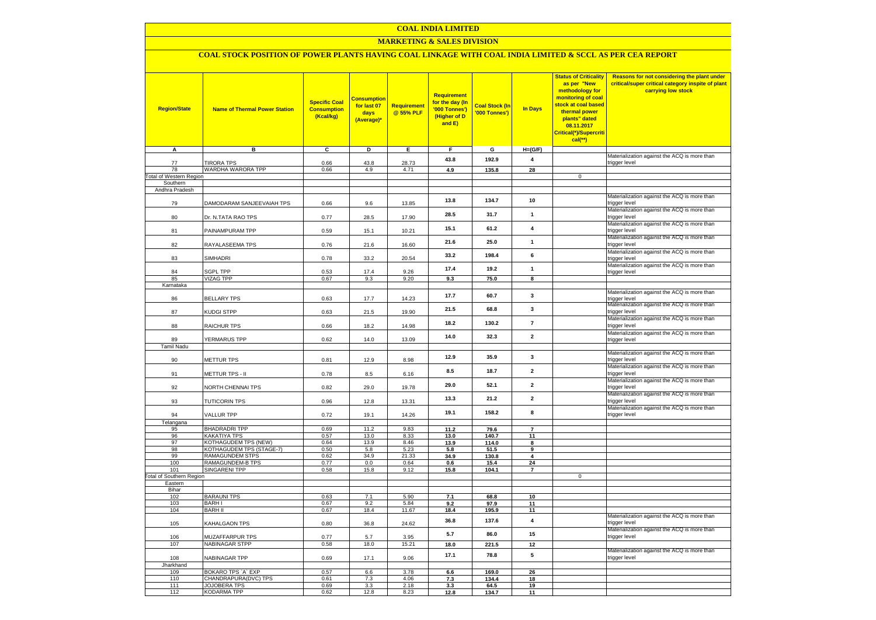### **COAL INDIA LIMITED**

### **MARKETING & SALES DIVISION**

# **COAL STOCK POSITION OF POWER PLANTS HAVING COAL LINKAGE WITH COAL INDIA LIMITED & SCCL AS PER CEA REPORT**

| <b>Region/State</b><br>A                   | <b>Name of Thermal Power Station</b><br>в | <b>Specific Coal</b><br><b>Consumption</b><br>(Kcal/kg)<br>C | <b>Consumption</b><br>for last 07<br>days<br>(Average)*<br>D | <b>Requirement</b><br>@ 55% PLF<br>Е. | <b>Requirement</b><br>for the day (In<br>'000 Tonnes')<br>(Higher of D<br>and E)<br>F. | <b>Coal Stock (In</b><br>'000 Tonnes')<br>$\mathbf{G}$ | <b>In Days</b><br>$H=(G/F)$ | <b>Status of Criticality</b><br>as per "New<br>methodology for<br>monitoring of coal<br><mark>stock at coal based</mark><br>thermal power<br>plants" dated<br>08.11.2017<br>Critical(*)/Supercriti<br>cal(**) | Reasons for not considering the plant under<br>critical/super critical category inspite of plant<br>carrying low stock |
|--------------------------------------------|-------------------------------------------|--------------------------------------------------------------|--------------------------------------------------------------|---------------------------------------|----------------------------------------------------------------------------------------|--------------------------------------------------------|-----------------------------|---------------------------------------------------------------------------------------------------------------------------------------------------------------------------------------------------------------|------------------------------------------------------------------------------------------------------------------------|
|                                            |                                           |                                                              |                                                              |                                       |                                                                                        |                                                        |                             |                                                                                                                                                                                                               | Materialization against the ACQ is more than                                                                           |
| 77                                         | <b>TIRORA TPS</b>                         | 0.66                                                         | 43.8                                                         | 28.73                                 | 43.8                                                                                   | 192.9                                                  | $\pmb{4}$                   |                                                                                                                                                                                                               | trigger level                                                                                                          |
| 78                                         | WARDHA WARORA TPP                         | 0.66                                                         | 4.9                                                          | 4.71                                  | 4.9                                                                                    | 135.8                                                  | 28                          | $\overline{0}$                                                                                                                                                                                                |                                                                                                                        |
| <b>Total of Western Region</b><br>Southern |                                           |                                                              |                                                              |                                       |                                                                                        |                                                        |                             |                                                                                                                                                                                                               |                                                                                                                        |
| Andhra Pradesh                             |                                           |                                                              |                                                              |                                       |                                                                                        |                                                        |                             |                                                                                                                                                                                                               |                                                                                                                        |
| 79                                         | DAMODARAM SANJEEVAIAH TPS                 | 0.66                                                         | 9.6                                                          | 13.85                                 | 13.8                                                                                   | 134.7                                                  | 10                          |                                                                                                                                                                                                               | Materialization against the ACQ is more than<br>trigger level                                                          |
| 80                                         | Dr. N.TATA RAO TPS                        | 0.77                                                         | 28.5                                                         | 17.90                                 | 28.5                                                                                   | 31.7                                                   | $\mathbf{1}$                |                                                                                                                                                                                                               | Materialization against the ACQ is more than<br>trigger level                                                          |
| 81                                         | PAINAMPURAM TPP                           | 0.59                                                         | 15.1                                                         | 10.21                                 | 15.1                                                                                   | 61.2                                                   | $\overline{\mathbf{4}}$     |                                                                                                                                                                                                               | Materialization against the ACQ is more than<br>trigger level                                                          |
| 82                                         | RAYALASEEMA TPS                           | 0.76                                                         | 21.6                                                         | 16.60                                 | 21.6                                                                                   | 25.0                                                   | $\mathbf{1}$                |                                                                                                                                                                                                               | Materialization against the ACQ is more than<br>trigger level                                                          |
| 83                                         | SIMHADRI                                  | 0.78                                                         | 33.2                                                         | 20.54                                 | 33.2                                                                                   | 198.4                                                  | 6                           |                                                                                                                                                                                                               | Materialization against the ACQ is more than<br>trigger level<br>Materialization against the ACQ is more than          |
| 84                                         | <b>GPL TPP</b>                            | 0.53                                                         | 17.4                                                         | 9.26                                  | 17.4                                                                                   | 19.2                                                   | $\mathbf{1}$                |                                                                                                                                                                                                               | trigger level                                                                                                          |
| 85                                         | <b>VIZAG TPP</b>                          | 0.67                                                         | 9.3                                                          | 9.20                                  | 9.3                                                                                    | 75.0                                                   | 8                           |                                                                                                                                                                                                               |                                                                                                                        |
| Karnataka                                  |                                           |                                                              |                                                              |                                       |                                                                                        |                                                        |                             |                                                                                                                                                                                                               |                                                                                                                        |
| 86                                         | <b>BELLARY TPS</b>                        | 0.63                                                         | 17.7                                                         | 14.23                                 | 17.7                                                                                   | 60.7                                                   | 3                           |                                                                                                                                                                                                               | Materialization against the ACQ is more than<br>trigger level<br>Materialization against the ACQ is more than          |
| 87                                         | KUDGI STPP                                | 0.63                                                         | 21.5                                                         | 19.90                                 | 21.5                                                                                   | 68.8                                                   | 3                           |                                                                                                                                                                                                               | trigger level<br>Materialization against the ACQ is more than                                                          |
| 88                                         | <b>RAICHUR TPS</b>                        | 0.66                                                         | 18.2                                                         | 14.98                                 | 18.2                                                                                   | 130.2                                                  | $\overline{7}$              |                                                                                                                                                                                                               | trigger level<br>Materialization against the ACQ is more than                                                          |
| 89<br><b>Tamil Nadu</b>                    | YERMARUS TPP                              | 0.62                                                         | 14.0                                                         | 13.09                                 | 14.0                                                                                   | 32.3                                                   | $\overline{2}$              |                                                                                                                                                                                                               | trigger level                                                                                                          |
| 90                                         | <b>METTUR TPS</b>                         | 0.81                                                         | 12.9                                                         | 8.98                                  | 12.9                                                                                   | 35.9                                                   | 3                           |                                                                                                                                                                                                               | Materialization against the ACQ is more than<br>trigger level                                                          |
| 91                                         | METTUR TPS - II                           | 0.78                                                         | 8.5                                                          | 6.16                                  | 8.5                                                                                    | 18.7                                                   | $\mathbf{2}$                |                                                                                                                                                                                                               | Materialization against the ACQ is more than<br>trigger level                                                          |
| 92                                         | NORTH CHENNAI TPS                         | 0.82                                                         | 29.0                                                         | 19.78                                 | 29.0                                                                                   | 52.1                                                   | $\overline{2}$              |                                                                                                                                                                                                               | Materialization against the ACQ is more than<br>trigger level                                                          |
| 93                                         | <b>TUTICORIN TPS</b>                      | 0.96                                                         | 12.8                                                         | 13.31                                 | 13.3                                                                                   | 21.2                                                   | $\overline{2}$              |                                                                                                                                                                                                               | Materialization against the ACQ is more than<br>trigger level                                                          |
| 94                                         | <b>VALLUR TPP</b>                         | 0.72                                                         | 19.1                                                         | 14.26                                 | 19.1                                                                                   | 158.2                                                  | 8                           |                                                                                                                                                                                                               | Materialization against the ACQ is more than<br>trigger level                                                          |
| Telangana                                  | <b>BHADRADRI TPP</b>                      | 0.69                                                         |                                                              | 9.83                                  |                                                                                        |                                                        | $\overline{\phantom{a}}$    |                                                                                                                                                                                                               |                                                                                                                        |
| 95<br>96                                   | <b>KAKATIYA TPS</b>                       | 0.57                                                         | 11.2<br>13.0                                                 | 8.33                                  | 11.2<br>13.0                                                                           | 79.6<br>140.7                                          | 11                          |                                                                                                                                                                                                               |                                                                                                                        |
| 97                                         | KOTHAGUDEM TPS (NEW)                      | 0.64                                                         | 13.9                                                         | 8.46                                  | 13.9                                                                                   | 114.0                                                  | $\mathbf{a}$                |                                                                                                                                                                                                               |                                                                                                                        |
| 98                                         | KOTHAGUDEM TPS (STAGE-7)                  | 0.50                                                         | 5.8                                                          | 5.23                                  | 5.8                                                                                    | 51.5                                                   | 9                           |                                                                                                                                                                                                               |                                                                                                                        |
| 99                                         | <b>RAMAGUNDEM STPS</b>                    | 0.62                                                         | 34.9                                                         | 21.33                                 | 34.9                                                                                   | 130.8                                                  | 4                           |                                                                                                                                                                                                               |                                                                                                                        |
| 100<br>101                                 | RAMAGUNDEM-B TPS<br><b>SINGARENI TPP</b>  | 0.77<br>0.58                                                 | 0.0<br>15.8                                                  | 0.64<br>9.12                          | 0.6<br>15.8                                                                            | 15.4<br>104.1                                          | 24<br>$\overline{7}$        |                                                                                                                                                                                                               |                                                                                                                        |
| <b>Total of Southern Region</b>            |                                           |                                                              |                                                              |                                       |                                                                                        |                                                        |                             | $\mathsf 0$                                                                                                                                                                                                   |                                                                                                                        |
| Eastern                                    |                                           |                                                              |                                                              |                                       |                                                                                        |                                                        |                             |                                                                                                                                                                                                               |                                                                                                                        |
| Bihar<br>102                               | <b>BARAUNI TPS</b>                        | 0.63                                                         | 7.1                                                          | 5.90                                  |                                                                                        |                                                        |                             |                                                                                                                                                                                                               |                                                                                                                        |
| 103                                        | <b>BARHI</b>                              | 0.67                                                         | 9.2                                                          | 5.84                                  | 7.1<br>9.2                                                                             | 68.8<br>97.9                                           | 10<br>11                    |                                                                                                                                                                                                               |                                                                                                                        |
| 104                                        | <b>BARH II</b>                            | 0.67                                                         | 18.4                                                         | 11.67                                 | 18.4                                                                                   | 195.9                                                  | 11                          |                                                                                                                                                                                                               |                                                                                                                        |
| 105                                        | KAHALGAON TPS                             | 0.80                                                         | 36.8                                                         | 24.62                                 | 36.8                                                                                   | 137.6                                                  | $\overline{\mathbf{4}}$     |                                                                                                                                                                                                               | Materialization against the ACQ is more than<br>trigger level                                                          |
| 106                                        | MUZAFFARPUR TPS                           | 0.77                                                         | 5.7                                                          | 3.95                                  | 5.7                                                                                    | 86.0                                                   | 15                          |                                                                                                                                                                                                               | Materialization against the ACQ is more than<br>trigger level                                                          |
| 107                                        | NABINAGAR STPP                            | 0.58                                                         | 18.0                                                         | 15.21                                 | 18.0                                                                                   | 221.5                                                  | 12                          |                                                                                                                                                                                                               |                                                                                                                        |
| 108                                        | NABINAGAR TPP                             | 0.69                                                         | 17.1                                                         | 9.06                                  | 17.1                                                                                   | 78.8                                                   | 5                           |                                                                                                                                                                                                               | Materialization against the ACQ is more than<br>trigger level                                                          |
| Jharkhand<br>109                           | BOKARO TPS 'A' EXP                        | 0.57                                                         | 6.6                                                          | 3.78                                  | 6.6                                                                                    | 169.0                                                  | 26                          |                                                                                                                                                                                                               |                                                                                                                        |
| 110                                        | CHANDRAPURA(DVC) TPS                      | 0.61                                                         | 7.3                                                          | 4.06                                  | 7.3                                                                                    | 134.4                                                  | 18                          |                                                                                                                                                                                                               |                                                                                                                        |
| 111                                        | <b>JOJOBERA TPS</b>                       | 0.69                                                         | 3.3                                                          | 2.18                                  | 3.3                                                                                    | 64.5                                                   | 19                          |                                                                                                                                                                                                               |                                                                                                                        |
| 112                                        | <b>KODARMA TPP</b>                        | 0.62                                                         | 12.8                                                         | 8.23                                  | 12.8                                                                                   | 134.7                                                  | 11                          |                                                                                                                                                                                                               |                                                                                                                        |